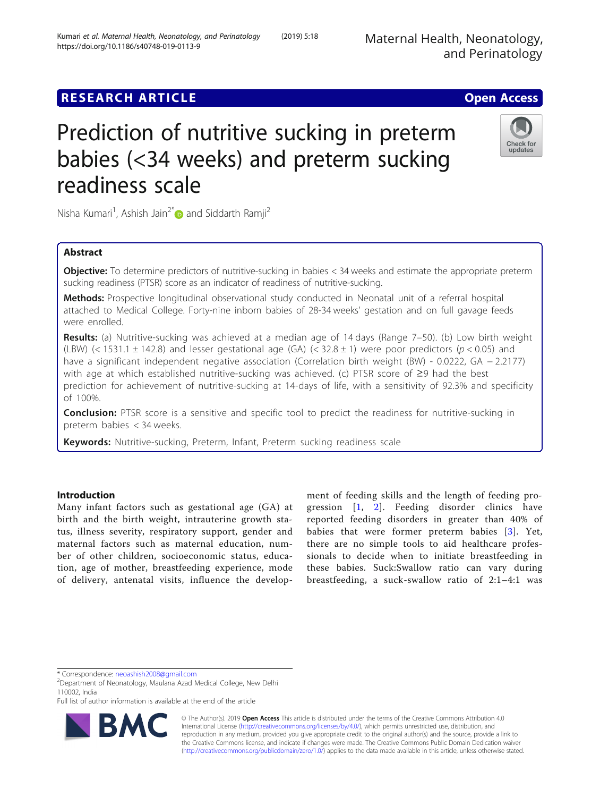# **RESEARCH ARTICLE Example 2018 12:00 Department of the Contract Open Access**

# Prediction of nutritive sucking in preterm babies (<34 weeks) and preterm sucking readiness scale

Nisha Kumari<sup>1</sup>, Ashish Jain<sup>2[\\*](http://orcid.org/0000-0002-8413-5687)</sup> and Siddarth Ramji<sup>2</sup>

# Abstract

**Objective:** To determine predictors of nutritive-sucking in babies < 34 weeks and estimate the appropriate preterm sucking readiness (PTSR) score as an indicator of readiness of nutritive-sucking.

Methods: Prospective longitudinal observational study conducted in Neonatal unit of a referral hospital attached to Medical College. Forty-nine inborn babies of 28-34 weeks' gestation and on full gavage feeds were enrolled.

Results: (a) Nutritive-sucking was achieved at a median age of 14 days (Range 7–50). (b) Low birth weight (LBW) (< 1531.1  $\pm$  142.8) and lesser gestational age (GA) (< 32.8  $\pm$  1) were poor predictors (p < 0.05) and have a significant independent negative association (Correlation birth weight (BW) - 0.0222, GA − 2.2177) with age at which established nutritive-sucking was achieved. (c) PTSR score of ≥9 had the best prediction for achievement of nutritive-sucking at 14-days of life, with a sensitivity of 92.3% and specificity of 100%.

**Conclusion:** PTSR score is a sensitive and specific tool to predict the readiness for nutritive-sucking in preterm babies < 34 weeks.

Keywords: Nutritive-sucking, Preterm, Infant, Preterm sucking readiness scale

# Introduction

Many infant factors such as gestational age (GA) at birth and the birth weight, intrauterine growth status, illness severity, respiratory support, gender and maternal factors such as maternal education, number of other children, socioeconomic status, education, age of mother, breastfeeding experience, mode of delivery, antenatal visits, influence the develop-

ment of feeding skills and the length of feeding progression [[1,](#page-6-0) [2](#page-6-0)]. Feeding disorder clinics have reported feeding disorders in greater than 40% of babies that were former preterm babies [[3](#page-6-0)]. Yet, there are no simple tools to aid healthcare professionals to decide when to initiate breastfeeding in these babies. Suck:Swallow ratio can vary during breastfeeding, a suck-swallow ratio of 2:1–4:1 was

\* Correspondence: [neoashish2008@gmail.com](mailto:neoashish2008@gmail.com) <sup>2</sup>

© The Author(s). 2019 **Open Access** This article is distributed under the terms of the Creative Commons Attribution 4.0 International License [\(http://creativecommons.org/licenses/by/4.0/](http://creativecommons.org/licenses/by/4.0/)), which permits unrestricted use, distribution, and reproduction in any medium, provided you give appropriate credit to the original author(s) and the source, provide a link to the Creative Commons license, and indicate if changes were made. The Creative Commons Public Domain Dedication waiver [\(http://creativecommons.org/publicdomain/zero/1.0/](http://creativecommons.org/publicdomain/zero/1.0/)) applies to the data made available in this article, unless otherwise stated.







<sup>&</sup>lt;sup>2</sup>Department of Neonatology, Maulana Azad Medical College, New Delhi 110002, India

Full list of author information is available at the end of the article

R.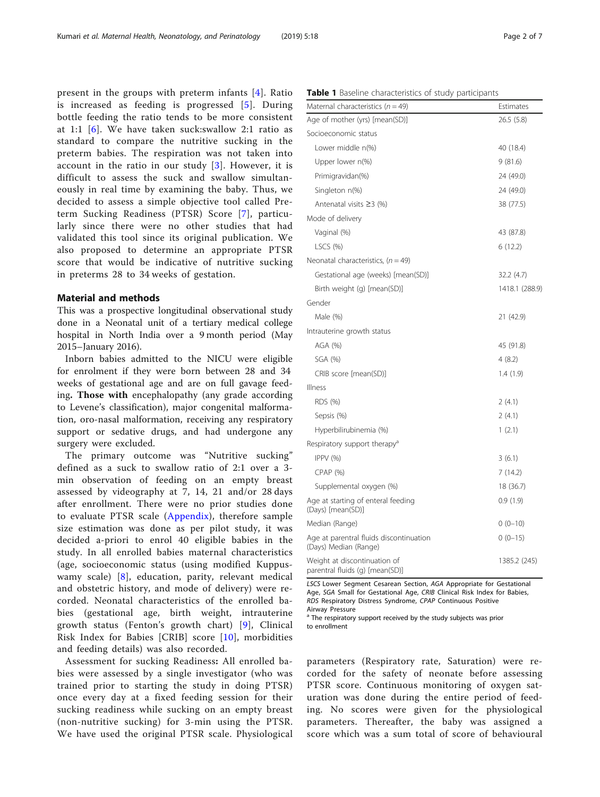<span id="page-1-0"></span>present in the groups with preterm infants [\[4\]](#page-6-0). Ratio is increased as feeding is progressed [[5\]](#page-6-0). During bottle feeding the ratio tends to be more consistent at 1:1 [[6\]](#page-6-0). We have taken suck:swallow 2:1 ratio as standard to compare the nutritive sucking in the preterm babies. The respiration was not taken into account in the ratio in our study [[3](#page-6-0)]. However, it is difficult to assess the suck and swallow simultaneously in real time by examining the baby. Thus, we decided to assess a simple objective tool called Preterm Sucking Readiness (PTSR) Score [[7](#page-6-0)], particularly since there were no other studies that had validated this tool since its original publication. We also proposed to determine an appropriate PTSR score that would be indicative of nutritive sucking in preterms 28 to 34 weeks of gestation.

# Material and methods

This was a prospective longitudinal observational study done in a Neonatal unit of a tertiary medical college hospital in North India over a 9 month period (May 2015–January 2016).

Inborn babies admitted to the NICU were eligible for enrolment if they were born between 28 and 34 weeks of gestational age and are on full gavage feeding. Those with encephalopathy (any grade according to Levene's classification), major congenital malformation, oro-nasal malformation, receiving any respiratory support or sedative drugs, and had undergone any surgery were excluded.

The primary outcome was "Nutritive sucking" defined as a suck to swallow ratio of 2:1 over a 3 min observation of feeding on an empty breast assessed by videography at 7, 14, 21 and/or 28 days after enrollment. There were no prior studies done to evaluate PTSR scale ([Appendix](#page-5-0)), therefore sample size estimation was done as per pilot study, it was decided a-priori to enrol 40 eligible babies in the study. In all enrolled babies maternal characteristics (age, socioeconomic status (using modified Kuppuswamy scale) [[8\]](#page-6-0), education, parity, relevant medical and obstetric history, and mode of delivery) were recorded. Neonatal characteristics of the enrolled babies (gestational age, birth weight, intrauterine growth status (Fenton's growth chart) [[9](#page-6-0)], Clinical Risk Index for Babies [CRIB] score [[10\]](#page-6-0), morbidities and feeding details) was also recorded.

Assessment for sucking Readiness: All enrolled babies were assessed by a single investigator (who was trained prior to starting the study in doing PTSR) once every day at a fixed feeding session for their sucking readiness while sucking on an empty breast (non-nutritive sucking) for 3-min using the PTSR. We have used the original PTSR scale. Physiological

|  | Table 1 Baseline characteristics of study participants |  |  |
|--|--------------------------------------------------------|--|--|
|--|--------------------------------------------------------|--|--|

| Maternal characteristics ( $n = 49$ )                            | Estimates      |
|------------------------------------------------------------------|----------------|
| Age of mother (yrs) [mean(SD)]                                   | 26.5(5.8)      |
| Socioeconomic status                                             |                |
| Lower middle n(%)                                                | 40 (18.4)      |
| Upper lower n(%)                                                 | 9(81.6)        |
| Primigravidan(%)                                                 | 24 (49.0)      |
| Singleton n(%)                                                   | 24 (49.0)      |
| Antenatal visits $\geq$ 3 (%)                                    | 38 (77.5)      |
| Mode of delivery                                                 |                |
| Vaginal (%)                                                      | 43 (87.8)      |
| LSCS $(% )$                                                      | 6(12.2)        |
| Neonatal characteristics, $(n = 49)$                             |                |
| Gestational age (weeks) [mean(SD)]                               | 32.2 (4.7)     |
| Birth weight (g) [mean(SD)]                                      | 1418.1 (288.9) |
| Gender                                                           |                |
| Male (%)                                                         | 21 (42.9)      |
| Intrauterine growth status                                       |                |
| AGA (%)                                                          | 45 (91.8)      |
| SGA (%)                                                          | 4(8.2)         |
| CRIB score [mean(SD)]                                            | 1.4 (1.9)      |
| Illness                                                          |                |
| RDS (%)                                                          | 2(4.1)         |
| Sepsis (%)                                                       | 2(4.1)         |
| Hyperbilirubinemia (%)                                           | 1(2.1)         |
| Respiratory support therapy <sup>a</sup>                         |                |
| IPPV(%)                                                          | 3(6.1)         |
| $CPAP$ $(%)$                                                     | 7(14.2)        |
| Supplemental oxygen (%)                                          | 18 (36.7)      |
| Age at starting of enteral feeding<br>(Days) [mean(SD)]          | 0.9(1.9)       |
| Median (Range)                                                   | $0(0-10)$      |
| Age at parentral fluids discontinuation<br>(Days) Median (Range) | $0(0-15)$      |
| Weight at discontinuation of<br>parentral fluids (g) [mean(SD)]  | 1385.2 (245)   |

LSCS Lower Segment Cesarean Section, AGA Appropriate for Gestational Age, SGA Small for Gestational Age, CRIB Clinical Risk Index for Babies, RDS Respiratory Distress Syndrome, CPAP Continuous Positive Airway Pressure

<sup>a</sup> The respiratory support received by the study subjects was prior to enrollment

parameters (Respiratory rate, Saturation) were recorded for the safety of neonate before assessing PTSR score. Continuous monitoring of oxygen saturation was done during the entire period of feeding. No scores were given for the physiological parameters. Thereafter, the baby was assigned a score which was a sum total of score of behavioural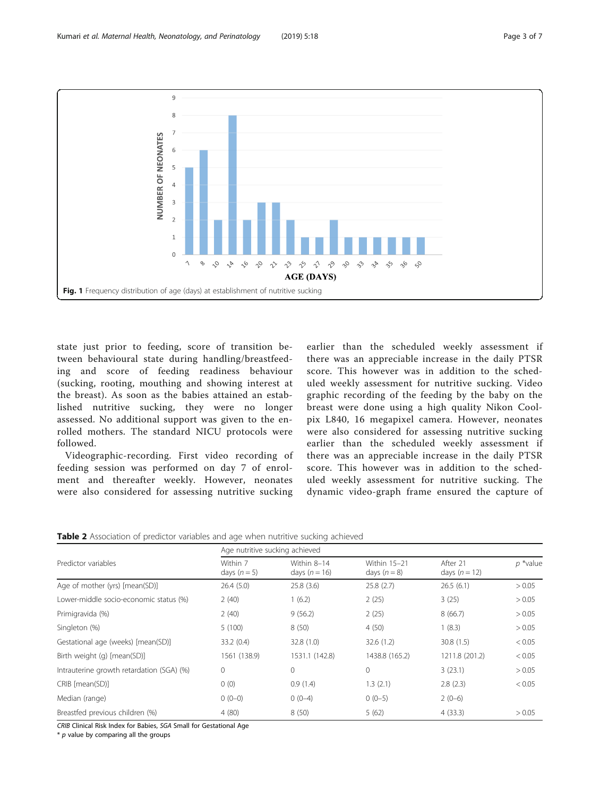<span id="page-2-0"></span>

state just prior to feeding, score of transition between behavioural state during handling/breastfeeding and score of feeding readiness behaviour (sucking, rooting, mouthing and showing interest at the breast). As soon as the babies attained an established nutritive sucking, they were no longer assessed. No additional support was given to the enrolled mothers. The standard NICU protocols were followed.

Videographic-recording. First video recording of feeding session was performed on day 7 of enrolment and thereafter weekly. However, neonates were also considered for assessing nutritive sucking

earlier than the scheduled weekly assessment if there was an appreciable increase in the daily PTSR score. This however was in addition to the scheduled weekly assessment for nutritive sucking. Video graphic recording of the feeding by the baby on the breast were done using a high quality Nikon Coolpix L840, 16 megapixel camera. However, neonates were also considered for assessing nutritive sucking earlier than the scheduled weekly assessment if there was an appreciable increase in the daily PTSR score. This however was in addition to the scheduled weekly assessment for nutritive sucking. The dynamic video-graph frame ensured the capture of

| <b>Table 2</b> Association of predictor variables and age when nutritive sucking achieved |  |  |  |  |
|-------------------------------------------------------------------------------------------|--|--|--|--|
|                                                                                           |  |  |  |  |

|                                           | Age nutritive sucking achieved |                                |                              |                             |             |
|-------------------------------------------|--------------------------------|--------------------------------|------------------------------|-----------------------------|-------------|
| Predictor variables                       | Within 7<br>days $(n=5)$       | Within 8-14<br>days $(n = 16)$ | Within 15-21<br>days $(n=8)$ | After 21<br>days $(n = 12)$ | $p *$ value |
| Age of mother (yrs) [mean(SD)]            | 26.4(5.0)                      | 25.8(3.6)                      | 25.8(2.7)                    | 26.5(6.1)                   | > 0.05      |
| Lower-middle socio-economic status (%)    | 2(40)                          | 1(6.2)                         | 2(25)                        | 3(25)                       | > 0.05      |
| Primigravida (%)                          | 2(40)                          | 9(56.2)                        | 2(25)                        | 8(66.7)                     | > 0.05      |
| Singleton (%)                             | 5(100)                         | 8(50)                          | 4(50)                        | 1(8.3)                      | > 0.05      |
| Gestational age (weeks) [mean(SD)]        | 33.2(0.4)                      | 32.8 (1.0)                     | 32.6(1.2)                    | 30.8(1.5)                   | < 0.05      |
| Birth weight (g) [mean(SD)]               | 1561 (138.9)                   | 1531.1 (142.8)                 | 1438.8 (165.2)               | 1211.8 (201.2)              | < 0.05      |
| Intrauterine growth retardation (SGA) (%) | $\mathbf 0$                    | $\mathbf{0}$                   | $\mathbf 0$                  | 3(23.1)                     | > 0.05      |
| CRIB [mean(SD)]                           | 0(0)                           | 0.9(1.4)                       | 1.3(2.1)                     | 2.8(2.3)                    | < 0.05      |
| Median (range)                            | $0(0-0)$                       | $0(0-4)$                       | $0(0-5)$                     | $2(0-6)$                    |             |
| Breastfed previous children (%)           | 4(80)                          | 8(50)                          | 5(62)                        | 4(33.3)                     | > 0.05      |

CRIB Clinical Risk Index for Babies, SGA Small for Gestational Age

 $*$  p value by comparing all the groups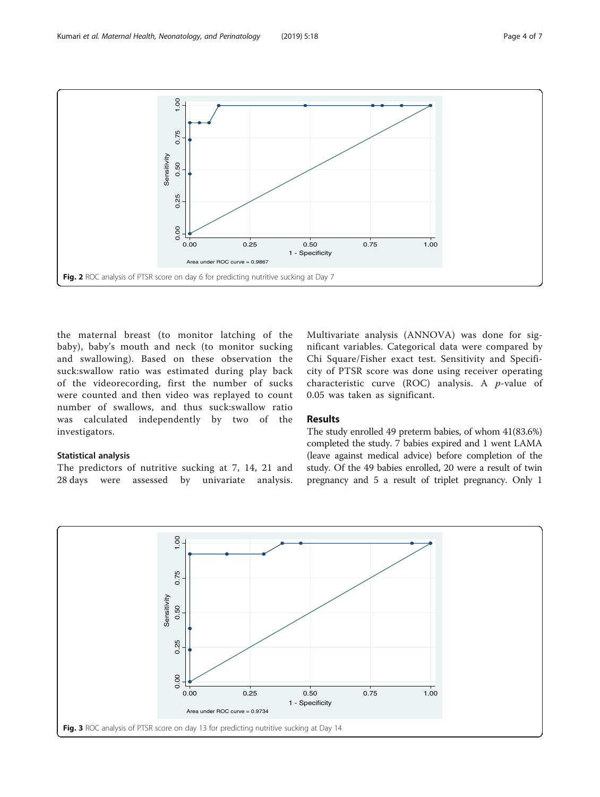<span id="page-3-0"></span>

the maternal breast (to monitor latching of the baby), baby's mouth and neck (to monitor sucking and swallowing). Based on these observation the suck:swallow ratio was estimated during play back of the videorecording, first the number of sucks were counted and then video was replayed to count number of swallows, and thus suck:swallow ratio was calculated independently by two of the investigators.

# Statistical analysis

The predictors of nutritive sucking at 7, 14, 21 and 28 days were assessed by univariate analysis.

Multivariate analysis (ANNOVA) was done for significant variables. Categorical data were compared by Chi Square/Fisher exact test. Sensitivity and Specificity of PTSR score was done using receiver operating characteristic curve (ROC) analysis. A  $p$ -value of 0.05 was taken as significant.

# Results

The study enrolled 49 preterm babies, of whom 41(83.6%) completed the study. 7 babies expired and 1 went LAMA (leave against medical advice) before completion of the study. Of the 49 babies enrolled, 20 were a result of twin pregnancy and 5 a result of triplet pregnancy. Only 1

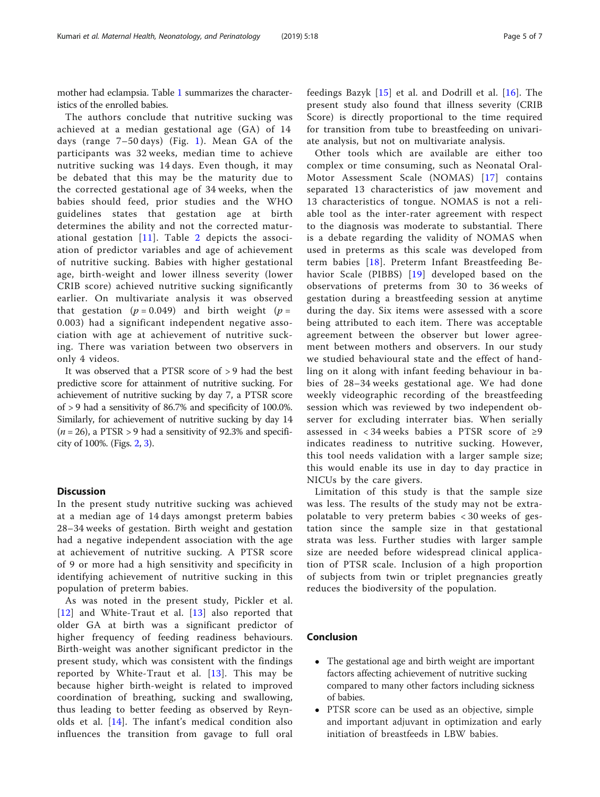mother had eclampsia. Table [1](#page-1-0) summarizes the characteristics of the enrolled babies.

The authors conclude that nutritive sucking was achieved at a median gestational age (GA) of 14 days (range 7–50 days) (Fig. [1\)](#page-2-0). Mean GA of the participants was 32 weeks, median time to achieve nutritive sucking was 14 days. Even though, it may be debated that this may be the maturity due to the corrected gestational age of 34 weeks, when the babies should feed, prior studies and the WHO guidelines states that gestation age at birth determines the ability and not the corrected maturational gestation [[11\]](#page-6-0). Table [2](#page-2-0) depicts the association of predictor variables and age of achievement of nutritive sucking. Babies with higher gestational age, birth-weight and lower illness severity (lower CRIB score) achieved nutritive sucking significantly earlier. On multivariate analysis it was observed that gestation ( $p = 0.049$ ) and birth weight ( $p =$ 0.003) had a significant independent negative association with age at achievement of nutritive sucking. There was variation between two observers in only 4 videos.

It was observed that a PTSR score of > 9 had the best predictive score for attainment of nutritive sucking. For achievement of nutritive sucking by day 7, a PTSR score of > 9 had a sensitivity of 86.7% and specificity of 100.0%. Similarly, for achievement of nutritive sucking by day 14  $(n = 26)$ , a PTSR > 9 had a sensitivity of 92.3% and specificity of 100%. (Figs. [2](#page-3-0), [3\)](#page-3-0).

# **Discussion**

In the present study nutritive sucking was achieved at a median age of 14 days amongst preterm babies 28–34 weeks of gestation. Birth weight and gestation had a negative independent association with the age at achievement of nutritive sucking. A PTSR score of 9 or more had a high sensitivity and specificity in identifying achievement of nutritive sucking in this population of preterm babies.

As was noted in the present study, Pickler et al. [[12](#page-6-0)] and White-Traut et al. [\[13](#page-6-0)] also reported that older GA at birth was a significant predictor of higher frequency of feeding readiness behaviours. Birth-weight was another significant predictor in the present study, which was consistent with the findings reported by White-Traut et al. [[13\]](#page-6-0). This may be because higher birth-weight is related to improved coordination of breathing, sucking and swallowing, thus leading to better feeding as observed by Reynolds et al. [[14\]](#page-6-0). The infant's medical condition also influences the transition from gavage to full oral

feedings Bazyk [[15](#page-6-0)] et al. and Dodrill et al. [[16](#page-6-0)]. The present study also found that illness severity (CRIB Score) is directly proportional to the time required for transition from tube to breastfeeding on univariate analysis, but not on multivariate analysis.

Other tools which are available are either too complex or time consuming, such as Neonatal Oral-Motor Assessment Scale (NOMAS) [\[17\]](#page-6-0) contains separated 13 characteristics of jaw movement and 13 characteristics of tongue. NOMAS is not a reliable tool as the inter-rater agreement with respect to the diagnosis was moderate to substantial. There is a debate regarding the validity of NOMAS when used in preterms as this scale was developed from term babies [[18](#page-6-0)]. Preterm Infant Breastfeeding Behavior Scale (PIBBS) [[19](#page-6-0)] developed based on the observations of preterms from 30 to 36 weeks of gestation during a breastfeeding session at anytime during the day. Six items were assessed with a score being attributed to each item. There was acceptable agreement between the observer but lower agreement between mothers and observers. In our study we studied behavioural state and the effect of handling on it along with infant feeding behaviour in babies of 28–34 weeks gestational age. We had done weekly videographic recording of the breastfeeding session which was reviewed by two independent observer for excluding interrater bias. When serially assessed in < 34 weeks babies a PTSR score of ≥9 indicates readiness to nutritive sucking. However, this tool needs validation with a larger sample size; this would enable its use in day to day practice in NICUs by the care givers.

Limitation of this study is that the sample size was less. The results of the study may not be extrapolatable to very preterm babies < 30 weeks of gestation since the sample size in that gestational strata was less. Further studies with larger sample size are needed before widespread clinical application of PTSR scale. Inclusion of a high proportion of subjects from twin or triplet pregnancies greatly reduces the biodiversity of the population.

# Conclusion

- The gestational age and birth weight are important factors affecting achievement of nutritive sucking compared to many other factors including sickness of babies.
- PTSR score can be used as an objective, simple and important adjuvant in optimization and early initiation of breastfeeds in LBW babies.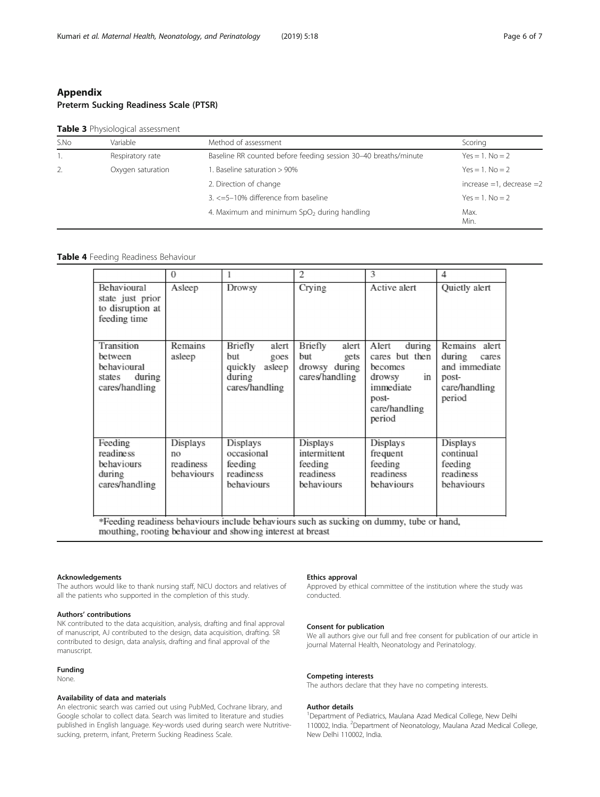# <span id="page-5-0"></span>Appendix Preterm Sucking Readiness Scale (PTSR)

## Table 3 Physiological assessment

| S.No | Variable          | Method of assessment                                            | Scoring                       |
|------|-------------------|-----------------------------------------------------------------|-------------------------------|
|      | Respiratory rate  | Baseline RR counted before feeding session 30-40 breaths/minute | $Yes = 1$ . $No = 2$          |
| 2.   | Oxygen saturation | 1. Baseline saturation > 90%                                    | $Yes = 1$ . $No = 2$          |
|      |                   | 2. Direction of change                                          | increase $=1$ , decrease $=2$ |
|      |                   | 3. <=5-10% difference from baseline                             | $Yes = 1$ . $No = 2$          |
|      |                   | 4. Maximum and minimum SpO <sub>2</sub> during handling         | Max.<br>Min.                  |

# Table 4 Feeding Readiness Behaviour

|                                                                            | $\Omega$                                  |                                                                                  | 2                                                                  | 3                                                                                                             | 4                                                                                        |
|----------------------------------------------------------------------------|-------------------------------------------|----------------------------------------------------------------------------------|--------------------------------------------------------------------|---------------------------------------------------------------------------------------------------------------|------------------------------------------------------------------------------------------|
| Behavioural<br>state just prior<br>to disruption at<br>feeding time        | Asleep                                    | Drowsy                                                                           | Crying                                                             | Active alert                                                                                                  | Quietly alert                                                                            |
| Transition<br>between<br>behavioural<br>states<br>during<br>cares/handling | Remains<br>asleep                         | Briefly<br>alert<br>but<br>goes<br>quickly<br>asleep<br>during<br>cares/handling | Briefly<br>alert<br>but<br>gets<br>drowsy during<br>cares/handling | during<br>Alert<br>cares but then<br>becomes<br>drowsy<br>in<br>immediate<br>post-<br>care/handling<br>period | Remains<br>alert<br>during<br>cares<br>and immediate<br>post-<br>care/handling<br>period |
| Feeding<br>readiness<br>behaviours<br>during<br>cares/handling             | Displays<br>no<br>readiness<br>behaviours | Displays<br>occasional<br>feeding<br>readiness<br>behaviours                     | Displays<br>intermittent<br>feeding<br>readiness<br>behaviours     | Displays<br>frequent<br>feeding<br>readiness<br>behaviours                                                    | Displays<br>continual<br>feeding<br>readiness<br>behaviours                              |

\*Feeding readiness behaviours include behaviours such as sucking on dummy, tube or hand, mouthing, rooting behaviour and showing interest at breast

#### Acknowledgements

The authors would like to thank nursing staff, NICU doctors and relatives of all the patients who supported in the completion of this study.

# Authors' contributions

NK contributed to the data acquisition, analysis, drafting and final approval of manuscript, AJ contributed to the design, data acquisition, drafting. SR contributed to design, data analysis, drafting and final approval of the manuscript.

# Funding

None.

# Availability of data and materials

An electronic search was carried out using PubMed, Cochrane library, and Google scholar to collect data. Search was limited to literature and studies published in English language. Key-words used during search were Nutritivesucking, preterm, infant, Preterm Sucking Readiness Scale.

#### Ethics approval

Approved by ethical committee of the institution where the study was conducted.

#### Consent for publication

We all authors give our full and free consent for publication of our article in journal Maternal Health, Neonatology and Perinatology.

#### Competing interests

The authors declare that they have no competing interests.

#### Author details

<sup>1</sup>Department of Pediatrics, Maulana Azad Medical College, New Delhi 110002, India. <sup>2</sup>Department of Neonatology, Maulana Azad Medical College, New Delhi 110002, India.